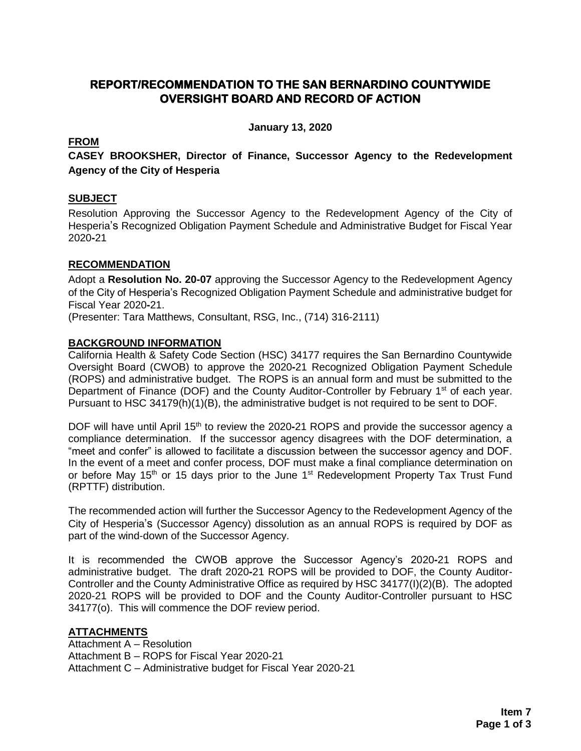#### **REPORT/RECOMMENDATION TO THE SAN BERNARDINO COUNTYWIDE OVERSIGHT BOARD AND RECORD OF ACTION**

**January 13, 2020**

#### **FROM**

**CASEY BROOKSHER, Director of Finance, Successor Agency to the Redevelopment Agency of the City of Hesperia**

#### **SUBJECT**

Resolution Approving the Successor Agency to the Redevelopment Agency of the City of Hesperia's Recognized Obligation Payment Schedule and Administrative Budget for Fiscal Year 2020**-**21

#### **RECOMMENDATION**

Adopt a **Resolution No. 20-07** approving the Successor Agency to the Redevelopment Agency of the City of Hesperia's Recognized Obligation Payment Schedule and administrative budget for Fiscal Year 2020**-**21.

(Presenter: Tara Matthews, Consultant, RSG, Inc., (714) 316-2111)

#### **BACKGROUND INFORMATION**

California Health & Safety Code Section (HSC) 34177 requires the San Bernardino Countywide Oversight Board (CWOB) to approve the 2020**-**21 Recognized Obligation Payment Schedule (ROPS) and administrative budget. The ROPS is an annual form and must be submitted to the Department of Finance (DOF) and the County Auditor-Controller by February 1<sup>st</sup> of each year. Pursuant to HSC 34179(h)(1)(B), the administrative budget is not required to be sent to DOF.

DOF will have until April 15<sup>th</sup> to review the 2020-21 ROPS and provide the successor agency a compliance determination. If the successor agency disagrees with the DOF determination, a "meet and confer" is allowed to facilitate a discussion between the successor agency and DOF. In the event of a meet and confer process, DOF must make a final compliance determination on or before May 15<sup>th</sup> or 15 days prior to the June 1<sup>st</sup> Redevelopment Property Tax Trust Fund (RPTTF) distribution.

The recommended action will further the Successor Agency to the Redevelopment Agency of the City of Hesperia's (Successor Agency) dissolution as an annual ROPS is required by DOF as part of the wind-down of the Successor Agency.

It is recommended the CWOB approve the Successor Agency's 2020**-**21 ROPS and administrative budget. The draft 2020**-**21 ROPS will be provided to DOF, the County Auditor-Controller and the County Administrative Office as required by HSC 34177(I)(2)(B). The adopted 2020-21 ROPS will be provided to DOF and the County Auditor-Controller pursuant to HSC 34177(o). This will commence the DOF review period.

#### **ATTACHMENTS**

Attachment A – Resolution Attachment B – ROPS for Fiscal Year 2020-21 Attachment C – Administrative budget for Fiscal Year 2020-21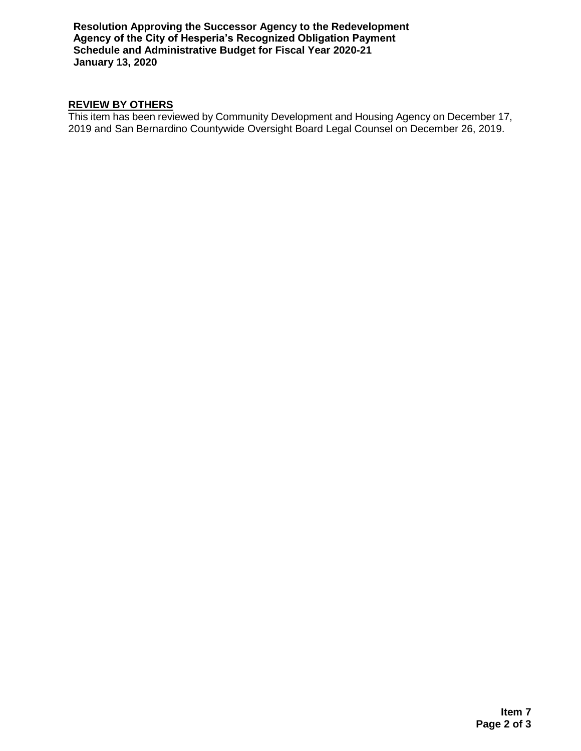**Resolution Approving the Successor Agency to the Redevelopment Agency of the City of Hesperia's Recognized Obligation Payment Schedule and Administrative Budget for Fiscal Year 2020-21 January 13, 2020**

### **REVIEW BY OTHERS**

This item has been reviewed by Community Development and Housing Agency on December 17, 2019 and San Bernardino Countywide Oversight Board Legal Counsel on December 26, 2019.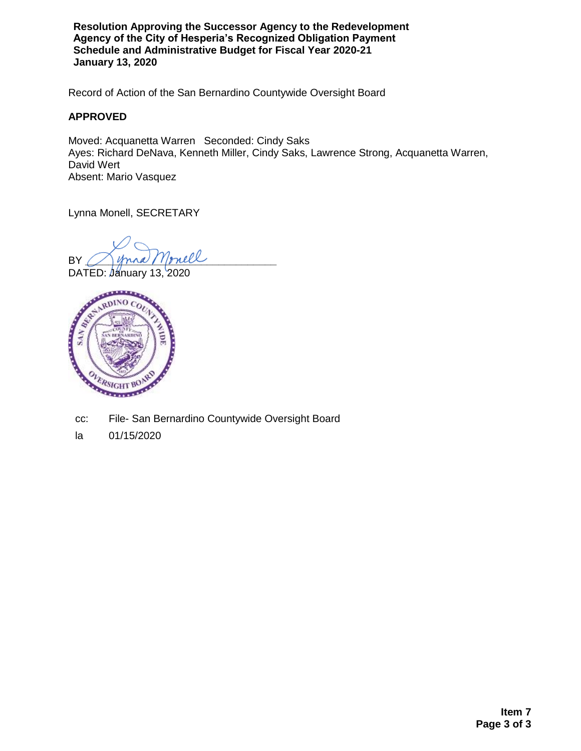**Resolution Approving the Successor Agency to the Redevelopment Agency of the City of Hesperia's Recognized Obligation Payment Schedule and Administrative Budget for Fiscal Year 2020-21 January 13, 2020**

Record of Action of the San Bernardino Countywide Oversight Board

#### **APPROVED**

Moved: Acquanetta Warren Seconded: Cindy Saks Ayes: Richard DeNava, Kenneth Miller, Cindy Saks, Lawrence Strong, Acquanetta Warren, David Wert Absent: Mario Vasquez

Lynna Monell, SECRETARY

BY Mona Monell

DATED: January 13, 2020



- cc: File- San Bernardino Countywide Oversight Board
- la 01/15/2020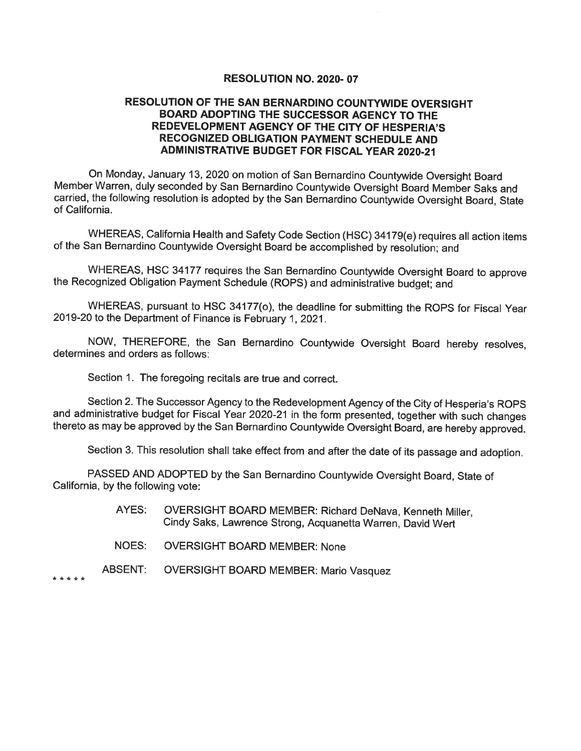#### RESOLUTION NO. 2020-07

#### RESOLUTION OF THE SAN BERNARDINO COUNTYWIDE OVERSIGHT BOARD ADOPTING THE SUCCESSOR AGENCY TO THE REDEVELOPMENT AGENCY OF THE CITY OF HESPERIA'S RECOGNIZED OBLIGATION PAYMENT SCHEDULE AND **ADMINISTRATIVE BUDGET FOR FISCAL YEAR 2020-21**

On Monday, January 13, 2020 on motion of San Bernardino Countywide Oversight Board Member Warren, duly seconded by San Bernardino Countywide Oversight Board Member Saks and carried, the following resolution is adopted by the San Bernardino Countywide Oversight Board, State of California.

WHEREAS, California Health and Safety Code Section (HSC) 34179(e) requires all action items of the San Bernardino Countywide Oversight Board be accomplished by resolution; and

WHEREAS, HSC 34177 requires the San Bernardino Countywide Oversight Board to approve the Recognized Obligation Payment Schedule (ROPS) and administrative budget; and

WHEREAS, pursuant to HSC 34177(o), the deadline for submitting the ROPS for Fiscal Year 2019-20 to the Department of Finance is February 1, 2021.

NOW, THEREFORE, the San Bernardino Countywide Oversight Board hereby resolves, determines and orders as follows:

Section 1. The foregoing recitals are true and correct.

Section 2. The Successor Agency to the Redevelopment Agency of the City of Hesperia's ROPS and administrative budget for Fiscal Year 2020-21 in the form presented, together with such changes thereto as may be approved by the San Bernardino Countywide Oversight Board, are hereby approved.

Section 3. This resolution shall take effect from and after the date of its passage and adoption.

PASSED AND ADOPTED by the San Bernardino Countywide Oversight Board, State of California, by the following vote:

- OVERSIGHT BOARD MEMBER: Richard DeNava, Kenneth Miller, AYES: Cindy Saks, Lawrence Strong, Acquanetta Warren, David Wert
- NOES: **OVERSIGHT BOARD MEMBER: None**
- ABSENT: **OVERSIGHT BOARD MEMBER: Mario Vasquez**

\* \* \* \* \*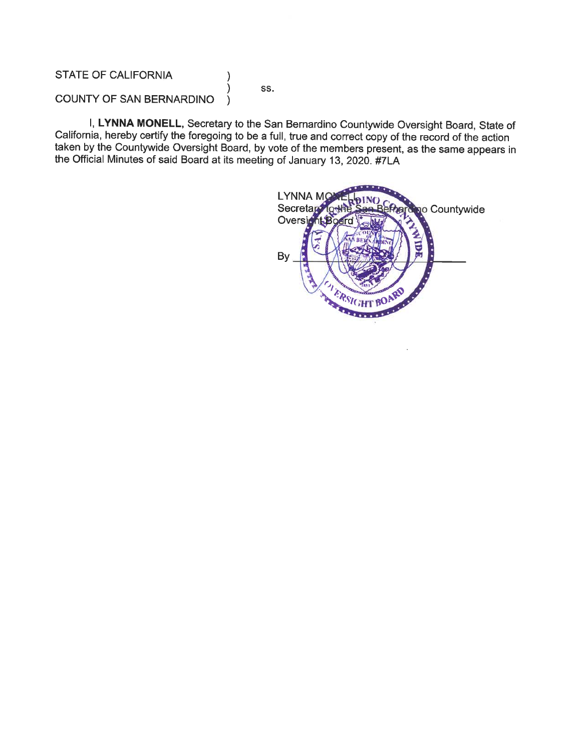#### **STATE OF CALIFORNIA**

SS.

 $\lambda$ 

⟩

#### COUNTY OF SAN BERNARDINO  $\lambda$

I, LYNNA MONELL, Secretary to the San Bernardino Countywide Oversight Board, State of California, hereby certify the foregoing to be a full, true and correct copy of the record of the action taken by the Countywide Oversight Board, by vote of the members present, as the same appears in the Official Minutes of said Board at its meeting of January 13, 2020. #7LA

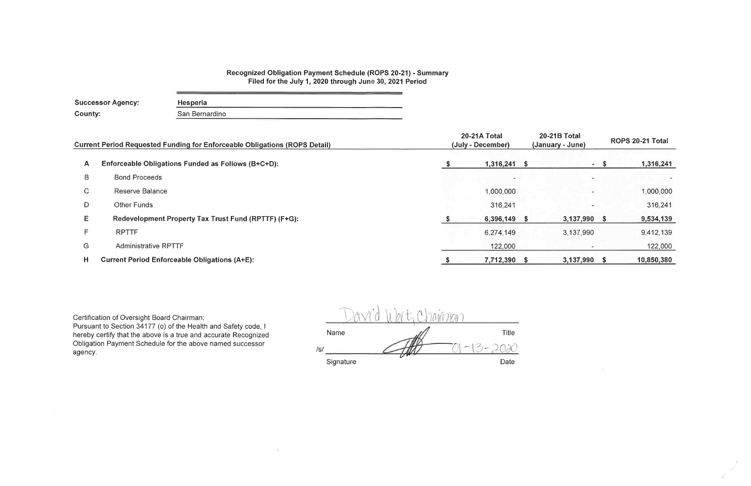## Recognized Obligation Payment Schedule (ROPS 20-21) - Summary<br>Filed for the July 1, 2020 through June 30, 2021 Period

| Successor Agency: | Hesperia       |  |
|-------------------|----------------|--|
| County:           | San Bernardino |  |
|                   |                |  |

 $\sim 10^{-11}$ 

|              | <b>Current Period Requested Funding for Enforceable Obligations (ROPS Detail)</b> | 20-21A Total<br>(July - December) |     |              |      | ROPS 20-21 Total |
|--------------|-----------------------------------------------------------------------------------|-----------------------------------|-----|--------------|------|------------------|
| A            | Enforceable Obligations Funded as Follows (B+C+D):                                | 1,316,241                         | - 5 |              | - \$ | 1,316,241        |
| B            | <b>Bond Proceeds</b>                                                              |                                   |     |              |      |                  |
| $\mathsf{C}$ | Reserve Balance                                                                   | 1,000,000                         |     |              |      | 1,000,000        |
| D            | Other Funds                                                                       | 316,241                           |     |              |      | 316,241          |
| E            | Redevelopment Property Tax Trust Fund (RPTTF) (F+G):                              | 6,396,149                         |     | 3,137,990 \$ |      | 9,534,139        |
|              | <b>RPTTF</b>                                                                      | 6,274,149                         |     | 3,137,990    |      | 9,412,139        |
| G            | <b>Administrative RPTTF</b>                                                       | 122,000                           |     |              |      | 122,000          |
| H.           | <b>Current Period Enforceable Obligations (A+E):</b>                              | 7,712,390 \$                      |     | 3,137,990 \$ |      | 10,850,380       |

Certification of Oversight Board Chairman:<br>Pursuant to Section 34177 (o) of the Health and Safety code, I hereby certify that the above is a true and accurate Recognized Obligation Payment Schedule for the above named successor agency.

|     | Ve.       | n<br>$\bigcap$ $\bigcap$ |                             |
|-----|-----------|--------------------------|-----------------------------|
|     | Name      |                          | <b>Title</b>                |
| /s/ |           |                          | <b>Simmon</b><br>coperation |
|     | Signature |                          | Date                        |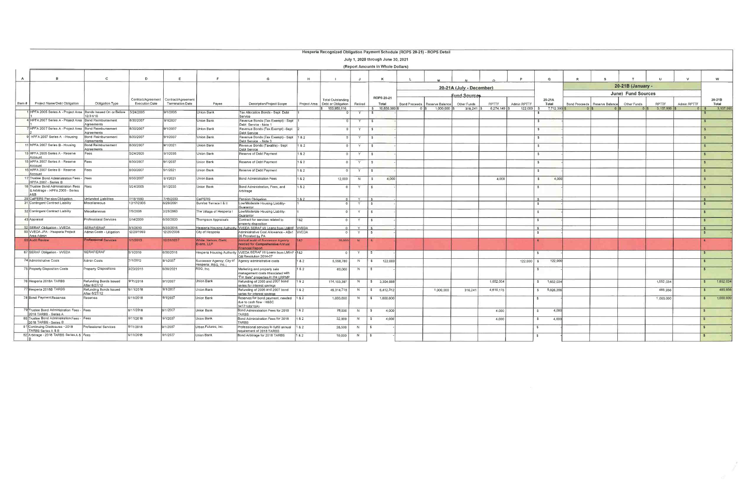#### Hesperia Recognized Obligation Payment Schedule (ROPS 20-21) - ROPS Detail

|              |                                                                     |                                         |                         |                         |                                     |                                                                                                      |              | Tresperia Recognized Obligation Fayment Schedule (ROFS 20-21) - ROFS Detail |                | July 1, 2020 through June 30, 2021<br>(Report Amounts in Whole Dollars) |                                                  |                             |                                |                             |                               |              |                                 |                    |                                |              |                               |  |
|--------------|---------------------------------------------------------------------|-----------------------------------------|-------------------------|-------------------------|-------------------------------------|------------------------------------------------------------------------------------------------------|--------------|-----------------------------------------------------------------------------|----------------|-------------------------------------------------------------------------|--------------------------------------------------|-----------------------------|--------------------------------|-----------------------------|-------------------------------|--------------|---------------------------------|--------------------|--------------------------------|--------------|-------------------------------|--|
|              |                                                                     |                                         |                         |                         |                                     |                                                                                                      |              |                                                                             |                |                                                                         |                                                  |                             |                                |                             |                               |              |                                 |                    |                                |              |                               |  |
| $\mathsf{A}$ |                                                                     | $\mathbf{c}$                            | D                       | E.                      |                                     | G                                                                                                    | H            |                                                                             | $\mathbf{J}$   | $\kappa$                                                                |                                                  |                             |                                | P                           | $\Omega$                      | $\mathbb{R}$ |                                 |                    |                                | $\mathsf{v}$ | w                             |  |
|              |                                                                     |                                         |                         |                         |                                     |                                                                                                      |              |                                                                             |                |                                                                         |                                                  | 20-21A (July - December)    |                                |                             |                               |              |                                 | 20-21B (January -  |                                |              |                               |  |
|              |                                                                     |                                         |                         |                         |                                     |                                                                                                      |              |                                                                             |                |                                                                         |                                                  | <b>Fund Sources</b>         |                                |                             |                               |              |                                 | June) Fund Sources |                                |              |                               |  |
|              |                                                                     |                                         | Contract/Agreement      | Contract/Agreement      |                                     |                                                                                                      |              | Total Outstanding                                                           |                | <b>ROPS 20-21</b>                                                       |                                                  |                             |                                |                             | 20-21A                        |              |                                 |                    |                                |              | 20-21B                        |  |
|              | lem # Project Name/Debt Obligation                                  | Obligation Type                         | <b>Execution Date</b>   | <b>Termination Date</b> | Payee                               | Description/Project Scope                                                                            | Project Area | Debt or Obligation<br>153,950,116                                           | Retired        | Total<br>\$10,850,380                                                   | Bond Proceeds   Reserve Balance<br>$1,000,000$ S | Other Funds<br>$316,241$ \$ | <b>RPTTF</b><br>$6,274,149$ \$ | Admin RPTTF<br>$122.000$ \$ | Total<br>7.712.390            |              | Bond Proceeds   Reserve Balance | Other Funds        | <b>RPTTF</b><br>$3.137.990$ \$ | Admin RPTTF  | Total<br>3,137,99             |  |
|              | HPFA 2005 Series A - Project Area   Bonds Issued On or Before       | 12/31/10                                | 5/24/2005               | 9/1/2035                | Union Bank                          | Tax Allocation Bonds - Sept Debt                                                                     |              |                                                                             |                |                                                                         |                                                  |                             |                                |                             |                               |              |                                 |                    |                                |              |                               |  |
|              | 4 HPFA 2007 Series A - Project Area Bond Reimbursement              | Agreements                              | 8/30/2007               | 9/1/2037                | Union Bank                          | Service<br>Revenue Bonds (Tax Exempt) - Sept<br>Debt Service - Note 1                                |              | $\Omega$                                                                    |                | S.                                                                      |                                                  |                             |                                |                             | $\mathbf{s}$                  |              |                                 |                    |                                |              |                               |  |
|              | HPFA 2007 Series A - Project Area Bond Reimbursement                | Agreements                              | 8/30/2007               | 9/1/2037                | Union Bank                          | Revenue Bonds (Tax Exempt) -Sept                                                                     |              |                                                                             |                | $\mathbf{S}$                                                            |                                                  |                             |                                |                             | $\mathcal{F}$                 |              |                                 |                    |                                |              |                               |  |
|              | HPFA 2007 Series A - Housing                                        | Bond Reimbursement                      | 8/30/2007               | 9/1/2037                | Union Bank                          | Debt Service<br>Revenue Bonds (Tax Exempt) - Sept 1 & 2                                              |              | 0 <sup>1</sup>                                                              | Y              | $\mathbf{s}$                                                            |                                                  |                             |                                |                             | $\mathbf{s}$                  |              |                                 |                    |                                |              |                               |  |
|              | 11 HPFA 2007 Series B - Housing                                     | Agreements<br><b>Bond Reimbursement</b> | 8/30/2007               | 9/1/2021                | Union Bank                          | Debt Service - Note 3<br>Revenue Bonds (Taxable) - Sept                                              | 182          | $\Omega$                                                                    | Y              | -SI                                                                     |                                                  |                             |                                |                             | S                             |              |                                 |                    |                                |              |                               |  |
|              | 13 HPFA 2005 Series A - Reserve                                     | Agreements<br>Fees                      | 5/24/2005               | 9/1/2035                | Union Bank                          | Debt Service<br>Reserve of Debt Payment                                                              | 1 & 2        | $\Omega$                                                                    | Y              | $\mathbf{s}$                                                            |                                                  |                             |                                |                             | S                             |              |                                 |                    |                                |              | $\mathbf{s}$                  |  |
|              | Account<br>15 HPFA 2007 Series A - Reserve                          | Fees                                    | 8/30/2007               | 9/1/2037                | Union Bank                          | Reserve of Debt Payment                                                                              | 182          |                                                                             | Y              | IS.                                                                     |                                                  |                             |                                |                             | $\mathsf{s}$                  |              |                                 |                    |                                |              |                               |  |
|              | Account<br>16 HPFA 2007 Series B - Reserve                          | Fees                                    | 8/30/2007               | 9/1/2021                | Union Bank                          | Reserve of Debt Payment                                                                              | 1 & 2        | $\Omega$                                                                    |                |                                                                         |                                                  |                             |                                |                             | $\sim$                        |              |                                 |                    |                                |              |                               |  |
|              | Account<br>7 Trustee Bond Administration Fees - Fees                |                                         | 8/30/2007               | 9/1/2021                | Union Bank                          | Bond Administration Fees                                                                             | 182          | 12,000                                                                      | N              | 4,000<br>S                                                              |                                                  |                             | 4,000                          |                             | $\mathsf{s}$<br>4,000         |              |                                 |                    |                                |              |                               |  |
|              | HPFA 2007 - Series B<br>18 Trustee Bond Administration Fees         | Fees                                    | 5/24/2005               | 9/1/2035                | Union Bank                          | Bond Administration, Fees, and                                                                       | 182          | $\Omega$                                                                    |                | S.                                                                      |                                                  |                             |                                |                             | $\mathbf{S}$                  |              |                                 |                    |                                |              |                               |  |
|              | & Arbitrage - HPFA 2005 - Series<br>l A&B                           |                                         |                         |                         |                                     | Arbitrage                                                                                            |              |                                                                             |                |                                                                         |                                                  |                             |                                |                             |                               |              |                                 |                    |                                |              |                               |  |
|              | 29 CalPERS Pension Obligation<br>31 Contingent Contract Liability   | Unfunded Liabilities<br>Miscellaneous   | 7/15/1993<br>12/17/2005 | 7/15/2033<br>6/26/2061  | CalPERS<br>Sunnse Terrace I & II    | Pension Obligation<br>Low/Moderate Housing Liability-                                                | 182          | $\cap$ $\Gamma$                                                             | Y              | Γ\$                                                                     |                                                  |                             |                                |                             | $\mathbb{S}$<br>$\mathcal{R}$ |              |                                 |                    |                                |              | $\sim$<br>$\ddot{\textbf{S}}$ |  |
|              | 32 Contingent Contract Liability                                    | Miscellaneous                           | 7/5/2006                | 2/25/2063               | The Village of Hesperia I           | <b>Guarantor</b>                                                                                     |              |                                                                             |                |                                                                         |                                                  |                             |                                |                             |                               |              |                                 |                    |                                |              | $\mathbf{S}$                  |  |
|              | 43 Appraisal                                                        | Professional Services                   | 5/14/2009               | 6/30/2020               |                                     | Low/Moderate Housing Liability-<br>Guarantor                                                         | 182          | $\Omega$                                                                    | Y              | $\mathcal{S}$                                                           |                                                  |                             |                                |                             | $\mathbb{S}$                  |              |                                 |                    |                                |              |                               |  |
|              |                                                                     |                                         |                         |                         | Thompson Appraisals                 | Contract for services related to<br>property disposition                                             |              | $\Omega$                                                                    | Y              |                                                                         |                                                  |                             |                                |                             | S                             |              |                                 |                    |                                |              | $\mathbf{s}$                  |  |
|              | 52 SERAF Obligation - VVEDA                                         | <b>SERAF/ERAF</b>                       | 5/1/2010                | 6/30/2016               |                                     | Hesperia Housing Authority   VVEDA SERAF I/II Loans from LMIHF   VVEDA                               |              |                                                                             | $\overline{Y}$ |                                                                         |                                                  |                             |                                |                             | l s                           |              |                                 |                    |                                |              | $\sim$                        |  |
|              | 53 VVEDA JPA - Hesperia Project<br>Area Admin                       | Admin Costs - Litigation                | 12/29/1993              | 12/20/2036              | City of Hesperia                    | Administrative Cost Allowance - ABx1 VVEDA<br>26 Prorated by PA                                      |              |                                                                             | Y              | <b>S</b>                                                                |                                                  |                             |                                |                             | $\mathbf{S}$                  |              |                                 |                    |                                |              | - \$                          |  |
|              | 60 Audit Review                                                     | <b>Professional Services</b>            | /1/2013                 | 12/31/2037              | White, Nelson, Diehl,<br>Evans, LLP | Annual audit of Successor Agency<br>needed for Comprehensive Annual                                  | 182          | 20,000                                                                      | N              |                                                                         |                                                  |                             |                                |                             | S                             |              |                                 |                    |                                |              |                               |  |
|              | 67 SERAF Obligation - VVEDA                                         | SERAF/ERAF                              | 5/1/2010                | 6/30/2016               |                                     | inancial Report<br>Hesperia Housing Authority   WEDA SERAF I/II Loans from LMIHF   1&2               |              |                                                                             | Y              | $\mathbf{s}$                                                            |                                                  |                             |                                |                             | $\mathbf{s}$                  |              |                                 |                    |                                |              |                               |  |
|              | 74 Administrative Costs                                             | Admin Costs                             | 7/1/2012                | 9/1/2037                |                                     | OB Resolution 2014-07<br>Successor Agency; City of Agency administrative costs                       | 1&2          | 5,558,780                                                                   | N              | 13<br>122,000                                                           |                                                  |                             |                                | $122,000$ \$                | 122,000                       |              |                                 |                    |                                |              | $\mathbf{R}$                  |  |
|              | 75 Property Disposition Costs                                       | <b>Property Dispositions</b>            | 3/23/2015               | 6/30/2021               | Hesperia, RSG, Inc.;<br>RSG, Inc.   | Marketing and property sale<br>management costs associated with                                      | 1&2          | 60,000                                                                      | N              | $\mathbf{s}$                                                            |                                                  |                             |                                |                             | $\mathbf{s}$                  |              |                                 |                    |                                |              |                               |  |
|              | 76 Hesperia 2018A TARBS                                             | Refunding Bonds Issued<br>After 6/27/12 | 9/11/2018               | 9/1/2037                | Union Bank                          | "For Sale" properties in the LRPMP<br>Refunding of 2005 and 2007 bond<br>series for interest savings | 182          | 114, 153, 397                                                               | N              | 3,304,068<br>$\frac{1}{2}$                                              |                                                  |                             | 1,652,034                      |                             | \$7,652,034]                  |              |                                 |                    | 1,652,034                      |              | 1,652,034                     |  |
|              | 77 Hesperia 2018B TARBS                                             | Refunding Bonds Issued<br>After 6/27/12 | 9/11/2018               | 9/1/2037                | Union Bank                          | Refunding of 2005 and 2007 bond<br>series for interest savings                                       | 182          | 46,314,718                                                                  | N              | 6,412,312<br>$\mathcal{S}$                                              | 1,000,000                                        | 316,241                     | 4,610,115                      |                             | \$ 5,926,356                  |              |                                 |                    | 485,956                        |              | 485,956<br>$\mathbf{C}$       |  |
|              | 78 Bond Payment Reserves                                            | Reserves                                | 9/11/2018               | 9/1/2037                | Union Bank                          | Reserves for bond payment, needed 1 & 2<br>due to cash flow - H&SC<br>34171(d)(1)(A)                 |              | 1,000,000                                                                   | N              | \$ 1,000,000]                                                           |                                                  |                             |                                |                             | $\mathbf{s}$                  |              |                                 |                    | 1,000,000                      |              | 1,000,000<br>$\mathbf{R}$     |  |
|              | 79 Trustee Bond Administration Fees - Fees<br>2018 TARBS - Series A |                                         | 9/11/2018               | 9/1/2037                | Union Bank                          | Bond Administration Fees for 2018<br><b>TARBS</b>                                                    | 1&2          | 76,000                                                                      | N              | 4,000<br>S                                                              |                                                  |                             | 4,000                          |                             | 4,000<br>$\mathbb{S}$         |              |                                 |                    |                                |              | $\mathbf{s}$                  |  |
|              | 80 Trustee Bond Administration Fees - Fees<br>2018 TARBS - Series B |                                         | 9/11/2018               | 9/1/2037                | Union Bank                          | Bond Administration Fees for 2018<br>TARBS                                                           | 1 & 2        | 32,000                                                                      | N              | 4,000<br>$\mathbf{s}$                                                   |                                                  |                             | 4,000                          |                             | $\sim$<br>4,000               |              |                                 |                    |                                |              | $\mathbf{s}$                  |  |
|              | 81 Continuing Disclosures - 2018<br>TARBS Series A & B              | <b>Professional Services</b>            | 9/11/2018               | 9/1/2037                | Urban Futures, Inc.                 | Professional services to fulfill annual<br>requirement of 2018 TARBS                                 | 182          | 28,500                                                                      | N.             | l s                                                                     |                                                  |                             |                                |                             | S.                            |              |                                 |                    |                                |              | $\mathbf{s}$                  |  |
|              | 82 Arbitrage - 2018 TARBS Series A & Fees                           |                                         | 9/11/2018               | 9/1/2037                | Union Bank                          | Bond Arbitrage for 2018 TARBS                                                                        | 182          | 10,000                                                                      | N.             | - \$                                                                    |                                                  |                             |                                |                             | -S                            |              |                                 |                    |                                |              | $\mathbf{s}$                  |  |